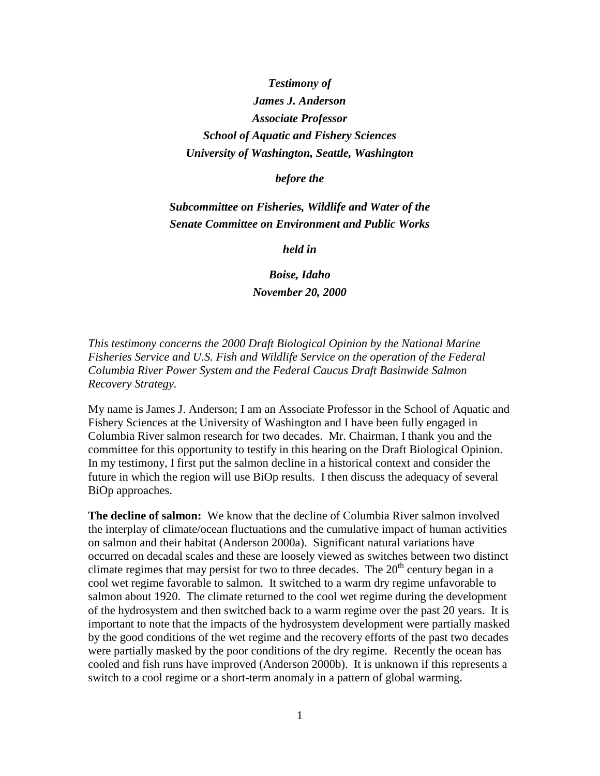## *Testimony of James J. Anderson Associate Professor School of Aquatic and Fishery Sciences University of Washington, Seattle, Washington*

## *before the*

## *Subcommittee on Fisheries, Wildlife and Water of the Senate Committee on Environment and Public Works*

*held in*

*Boise, Idaho November 20, 2000*

*This testimony concerns the 2000 Draft Biological Opinion by the National Marine Fisheries Service and U.S. Fish and Wildlife Service on the operation of the Federal Columbia River Power System and the Federal Caucus Draft Basinwide Salmon Recovery Strategy.*

My name is James J. Anderson; I am an Associate Professor in the School of Aquatic and Fishery Sciences at the University of Washington and I have been fully engaged in Columbia River salmon research for two decades. Mr. Chairman, I thank you and the committee for this opportunity to testify in this hearing on the Draft Biological Opinion. In my testimony, I first put the salmon decline in a historical context and consider the future in which the region will use BiOp results. I then discuss the adequacy of several BiOp approaches.

**The decline of salmon:** We know that the decline of Columbia River salmon involved the interplay of climate/ocean fluctuations and the cumulative impact of human activities on salmon and their habitat (Anderson 2000a). Significant natural variations have occurred on decadal scales and these are loosely viewed as switches between two distinct climate regimes that may persist for two to three decades. The  $20<sup>th</sup>$  century began in a cool wet regime favorable to salmon. It switched to a warm dry regime unfavorable to salmon about 1920. The climate returned to the cool wet regime during the development of the hydrosystem and then switched back to a warm regime over the past 20 years. It is important to note that the impacts of the hydrosystem development were partially masked by the good conditions of the wet regime and the recovery efforts of the past two decades were partially masked by the poor conditions of the dry regime. Recently the ocean has cooled and fish runs have improved (Anderson 2000b). It is unknown if this represents a switch to a cool regime or a short-term anomaly in a pattern of global warming.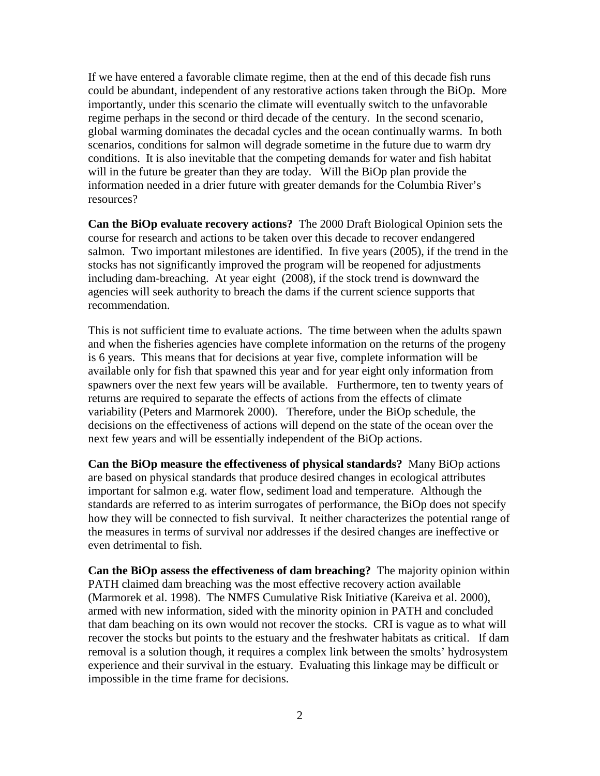If we have entered a favorable climate regime, then at the end of this decade fish runs could be abundant, independent of any restorative actions taken through the BiOp. More importantly, under this scenario the climate will eventually switch to the unfavorable regime perhaps in the second or third decade of the century. In the second scenario, global warming dominates the decadal cycles and the ocean continually warms. In both scenarios, conditions for salmon will degrade sometime in the future due to warm dry conditions. It is also inevitable that the competing demands for water and fish habitat will in the future be greater than they are today. Will the BiOp plan provide the information needed in a drier future with greater demands for the Columbia River's resources?

**Can the BiOp evaluate recovery actions?** The 2000 Draft Biological Opinion sets the course for research and actions to be taken over this decade to recover endangered salmon. Two important milestones are identified. In five years (2005), if the trend in the stocks has not significantly improved the program will be reopened for adjustments including dam-breaching. At year eight (2008), if the stock trend is downward the agencies will seek authority to breach the dams if the current science supports that recommendation.

This is not sufficient time to evaluate actions. The time between when the adults spawn and when the fisheries agencies have complete information on the returns of the progeny is 6 years. This means that for decisions at year five, complete information will be available only for fish that spawned this year and for year eight only information from spawners over the next few years will be available. Furthermore, ten to twenty years of returns are required to separate the effects of actions from the effects of climate variability (Peters and Marmorek 2000). Therefore, under the BiOp schedule, the decisions on the effectiveness of actions will depend on the state of the ocean over the next few years and will be essentially independent of the BiOp actions.

**Can the BiOp measure the effectiveness of physical standards?** Many BiOp actions are based on physical standards that produce desired changes in ecological attributes important for salmon e.g. water flow, sediment load and temperature. Although the standards are referred to as interim surrogates of performance, the BiOp does not specify how they will be connected to fish survival. It neither characterizes the potential range of the measures in terms of survival nor addresses if the desired changes are ineffective or even detrimental to fish.

**Can the BiOp assess the effectiveness of dam breaching?** The majority opinion within PATH claimed dam breaching was the most effective recovery action available (Marmorek et al. 1998). The NMFS Cumulative Risk Initiative (Kareiva et al. 2000), armed with new information, sided with the minority opinion in PATH and concluded that dam beaching on its own would not recover the stocks. CRI is vague as to what will recover the stocks but points to the estuary and the freshwater habitats as critical. If dam removal is a solution though, it requires a complex link between the smolts' hydrosystem experience and their survival in the estuary. Evaluating this linkage may be difficult or impossible in the time frame for decisions.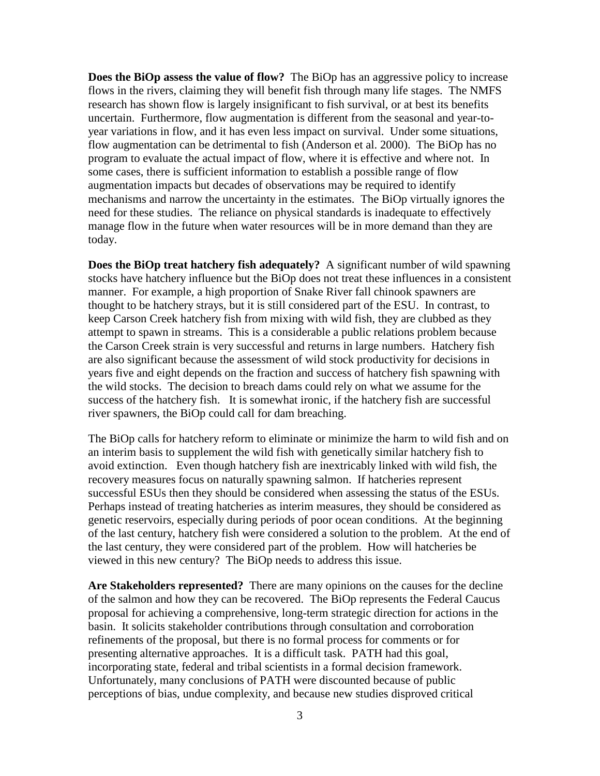**Does the BiOp assess the value of flow?** The BiOp has an aggressive policy to increase flows in the rivers, claiming they will benefit fish through many life stages. The NMFS research has shown flow is largely insignificant to fish survival, or at best its benefits uncertain. Furthermore, flow augmentation is different from the seasonal and year-toyear variations in flow, and it has even less impact on survival. Under some situations, flow augmentation can be detrimental to fish (Anderson et al. 2000). The BiOp has no program to evaluate the actual impact of flow, where it is effective and where not. In some cases, there is sufficient information to establish a possible range of flow augmentation impacts but decades of observations may be required to identify mechanisms and narrow the uncertainty in the estimates. The BiOp virtually ignores the need for these studies. The reliance on physical standards is inadequate to effectively manage flow in the future when water resources will be in more demand than they are today.

**Does the BiOp treat hatchery fish adequately?** A significant number of wild spawning stocks have hatchery influence but the BiOp does not treat these influences in a consistent manner. For example, a high proportion of Snake River fall chinook spawners are thought to be hatchery strays, but it is still considered part of the ESU. In contrast, to keep Carson Creek hatchery fish from mixing with wild fish, they are clubbed as they attempt to spawn in streams. This is a considerable a public relations problem because the Carson Creek strain is very successful and returns in large numbers. Hatchery fish are also significant because the assessment of wild stock productivity for decisions in years five and eight depends on the fraction and success of hatchery fish spawning with the wild stocks. The decision to breach dams could rely on what we assume for the success of the hatchery fish. It is somewhat ironic, if the hatchery fish are successful river spawners, the BiOp could call for dam breaching.

The BiOp calls for hatchery reform to eliminate or minimize the harm to wild fish and on an interim basis to supplement the wild fish with genetically similar hatchery fish to avoid extinction. Even though hatchery fish are inextricably linked with wild fish, the recovery measures focus on naturally spawning salmon. If hatcheries represent successful ESUs then they should be considered when assessing the status of the ESUs. Perhaps instead of treating hatcheries as interim measures, they should be considered as genetic reservoirs, especially during periods of poor ocean conditions. At the beginning of the last century, hatchery fish were considered a solution to the problem. At the end of the last century, they were considered part of the problem. How will hatcheries be viewed in this new century? The BiOp needs to address this issue.

**Are Stakeholders represented?** There are many opinions on the causes for the decline of the salmon and how they can be recovered. The BiOp represents the Federal Caucus proposal for achieving a comprehensive, long-term strategic direction for actions in the basin. It solicits stakeholder contributions through consultation and corroboration refinements of the proposal, but there is no formal process for comments or for presenting alternative approaches. It is a difficult task. PATH had this goal, incorporating state, federal and tribal scientists in a formal decision framework. Unfortunately, many conclusions of PATH were discounted because of public perceptions of bias, undue complexity, and because new studies disproved critical